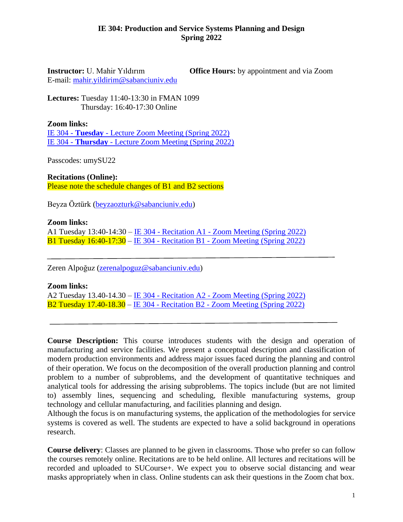## **IE 304: Production and Service Systems Planning and Design Spring 2022**

E-mail: [mahir.yildirim@sabanciuniv.edu](mailto:mahir.yildirim@sabanciuniv.edu)

**Instructor:** U. Mahir Yıldırım **Office Hours:** by appointment and via Zoom

**Lectures:** Tuesday 11:40-13:30 in FMAN 1099 Thursday: 16:40-17:30 Online

**Zoom links:**

IE 304 - **Tuesday** - [Lecture Zoom Meeting \(Spring 2022\)](https://sabanciuniv.zoom.us/j/94678294871?pwd=OVBIN0czVThGbVVUc0llN29DZSt4dz09) IE 304 - **Thursday** - [Lecture Zoom Meeting \(Spring 2022\)](https://sabanciuniv.zoom.us/j/93837833641?pwd=U0oyNFROdHBPS3o5MnpoTDNHYlJaZz09)

Passcodes: umySU22

**Recitations (Online):** Please note the schedule changes of B1 and B2 sections

Beyza Öztürk [\(beyzaozturk@sabanciuniv.edu\)](mailto:beyzaozturk@sabanciuniv.edu)

**Zoom links:**

A1 Tuesday 13:40-14:30 – IE 304 - Recitation A1 - [Zoom Meeting \(Spring 2022\)](https://sabanciuniv.zoom.us/j/96486991901) B1 Tuesday 16:40-17:30 – IE 304 - Recitation B1 - [Zoom Meeting \(Spring 2022\)](https://sabanciuniv.zoom.us/j/99675507520)

Zeren Alpoğuz [\(zerenalpoguz@sabanciuniv.edu\)](mailto:zerenalpoguz@sabanciuniv.edu)

**Zoom links:**

A2 Tuesday 13.40-14.30 – IE 304 - Recitation A2 - [Zoom Meeting \(Spring 2022\)](https://sabanciuniv.zoom.us/j/99100855487) B2 Tuesday 17.40-18.30 – IE 304 - Recitation B2 - [Zoom Meeting \(Spring 2022\)](https://sabanciuniv.zoom.us/j/92570675978)

**Course Description:** This course introduces students with the design and operation of manufacturing and service facilities. We present a conceptual description and classification of modern production environments and address major issues faced during the planning and control of their operation. We focus on the decomposition of the overall production planning and control problem to a number of subproblems, and the development of quantitative techniques and analytical tools for addressing the arising subproblems. The topics include (but are not limited to) assembly lines, sequencing and scheduling, flexible manufacturing systems, group technology and cellular manufacturing, and facilities planning and design.

Although the focus is on manufacturing systems, the application of the methodologies for service systems is covered as well. The students are expected to have a solid background in operations research.

**Course delivery**: Classes are planned to be given in classrooms. Those who prefer so can follow the courses remotely online. Recitations are to be held online. All lectures and recitations will be recorded and uploaded to SUCourse+. We expect you to observe social distancing and wear masks appropriately when in class. Online students can ask their questions in the Zoom chat box.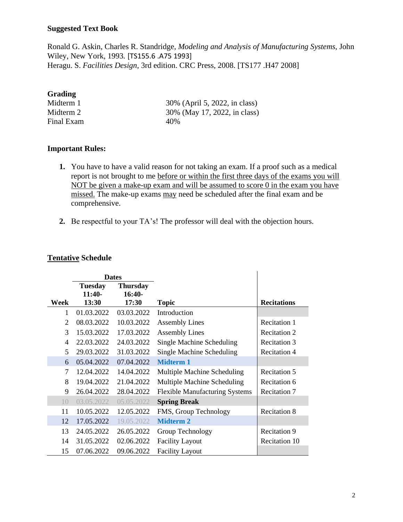## **Suggested Text Book**

Ronald G. Askin, Charles R. Standridge*, Modeling and Analysis of Manufacturing Systems,* John Wiley, New York, 1993*.* [TS155.6 .A75 1993] Heragu. S. *Facilities Design*, 3rd edition. CRC Press, 2008. [TS177 .H47 2008]

# **Grading**

Final Exam 40%

Midterm 1 30% (April 5, 2022, in class) Midterm 2 30% (May 17, 2022, in class)

# **Important Rules:**

- **1.** You have to have a valid reason for not taking an exam. If a proof such as a medical report is not brought to me before or within the first three days of the exams you will NOT be given a make-up exam and will be assumed to score 0 in the exam you have missed. The make-up exams may need be scheduled after the final exam and be comprehensive.
- **2.** Be respectful to your TA's! The professor will deal with the objection hours.

#### **Tentative Schedule**

|                 | <b>Dates</b>               |                             |                                       |                      |
|-----------------|----------------------------|-----------------------------|---------------------------------------|----------------------|
|                 | <b>Tuesday</b><br>$11:40-$ | <b>Thursday</b><br>$16:40-$ |                                       |                      |
| Week            | 13:30                      | 17:30                       | <b>Topic</b>                          | <b>Recitations</b>   |
| 1               | 01.03.2022                 | 03.03.2022                  | Introduction                          |                      |
| 2               | 08.03.2022                 | 10.03.2022                  | <b>Assembly Lines</b>                 | <b>Recitation 1</b>  |
| 3               | 15.03.2022                 | 17.03.2022                  | <b>Assembly Lines</b>                 | <b>Recitation 2</b>  |
| 4               | 22.03.2022                 | 24.03.2022                  | <b>Single Machine Scheduling</b>      | <b>Recitation 3</b>  |
| 5               | 29.03.2022                 | 31.03.2022                  | <b>Single Machine Scheduling</b>      | <b>Recitation 4</b>  |
| 6               | 05.04.2022                 | 07.04.2022                  | <b>Midterm 1</b>                      |                      |
| 7               | 12.04.2022                 | 14.04.2022                  | Multiple Machine Scheduling           | <b>Recitation 5</b>  |
| 8               | 19.04.2022                 | 21.04.2022                  | Multiple Machine Scheduling           | Recitation 6         |
| 9               | 26.04.2022                 | 28.04.2022                  | <b>Flexible Manufacturing Systems</b> | <b>Recitation 7</b>  |
| 10 <sup>2</sup> | 03.05.2022                 | 05.05.2022                  | <b>Spring Break</b>                   |                      |
| 11              | 10.05.2022                 | 12.05.2022                  | FMS, Group Technology                 | <b>Recitation 8</b>  |
| 12              | 17.05.2022                 | 19.05.2022                  | <b>Midterm 2</b>                      |                      |
| 13              | 24.05.2022                 | 26.05.2022                  | Group Technology                      | <b>Recitation 9</b>  |
| 14              | 31.05.2022                 | 02.06.2022                  | <b>Facility Layout</b>                | <b>Recitation 10</b> |
| 15              | 07.06.2022                 | 09.06.2022                  | <b>Facility Layout</b>                |                      |